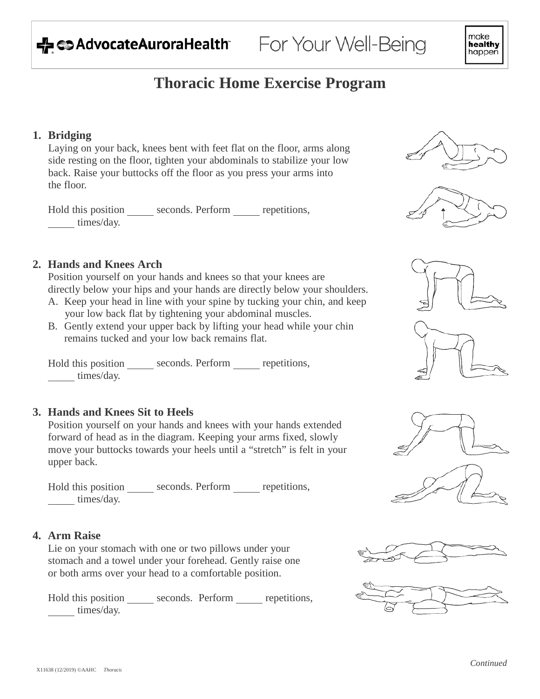

# **Thoracic Home Exercise Program**

### **1. Bridging**

Laying on your back, knees bent with feet flat on the floor, arms along side resting on the floor, tighten your abdominals to stabilize your low back. Raise your buttocks off the floor as you press your arms into the floor.

Hold this position \_\_\_\_\_\_ seconds. Perform \_\_\_\_\_ repetitions, times/day.



Position yourself on your hands and knees so that your knees are directly below your hips and your hands are directly below your shoulders.

- A. Keep your head in line with your spine by tucking your chin, and keep your low back flat by tightening your abdominal muscles.
- B. Gently extend your upper back by lifting your head while your chin remains tucked and your low back remains flat.

Hold this position \_\_\_\_\_\_ seconds. Perform \_\_\_\_\_ repetitions, times/day.

# **3. Hands and Knees Sit to Heels**

Position yourself on your hands and knees with your hands extended forward of head as in the diagram. Keeping your arms fixed, slowly move your buttocks towards your heels until a "stretch" is felt in your upper back.

Hold this position \_\_\_\_\_\_ seconds. Perform \_\_\_\_\_ repetitions, times/day.

#### **4. Arm Raise**

Lie on your stomach with one or two pillows under your stomach and a towel under your forehead. Gently raise one or both arms over your head to a comfortable position.

Hold this position \_\_\_\_\_\_ seconds. Perform \_\_\_\_\_ repetitions, times/day.













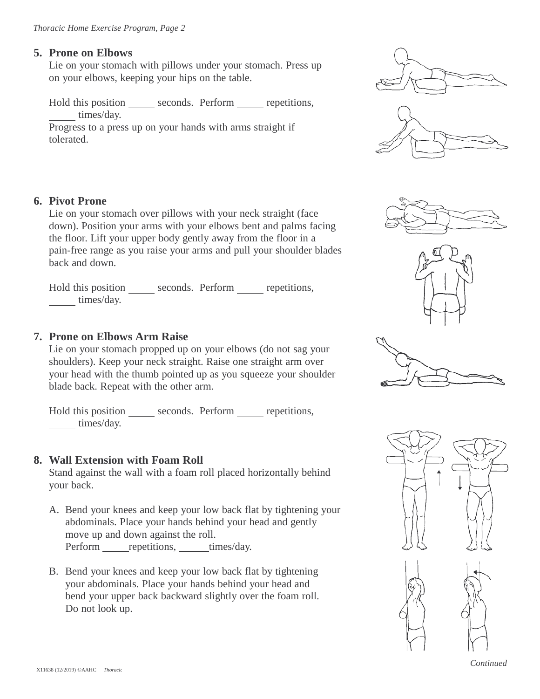# **5. Prone on Elbows**

Lie on your stomach with pillows under your stomach. Press up on your elbows, keeping your hips on the table.

Hold this position \_\_\_\_\_\_ seconds. Perform \_\_\_\_\_ repetitions, times/day.

Progress to a press up on your hands with arms straight if tolerated.

# **6. Pivot Prone**

Lie on your stomach over pillows with your neck straight (face down). Position your arms with your elbows bent and palms facing the floor. Lift your upper body gently away from the floor in a pain-free range as you raise your arms and pull your shoulder blades back and down.

Hold this position \_\_\_\_\_\_ seconds. Perform \_\_\_\_\_ repetitions, times/day.

# **7. Prone on Elbows Arm Raise**

Lie on your stomach propped up on your elbows (do not sag your shoulders). Keep your neck straight. Raise one straight arm over your head with the thumb pointed up as you squeeze your shoulder blade back. Repeat with the other arm.

Hold this position seconds. Perform repetitions, times/day.

# **8. Wall Extension with Foam Roll**

Stand against the wall with a foam roll placed horizontally behind your back.

- A. Bend your knees and keep your low back flat by tightening your abdominals. Place your hands behind your head and gently move up and down against the roll. Perform repetitions, times/day.
- B. Bend your knees and keep your low back flat by tightening your abdominals. Place your hands behind your head and bend your upper back backward slightly over the foam roll. Do not look up.











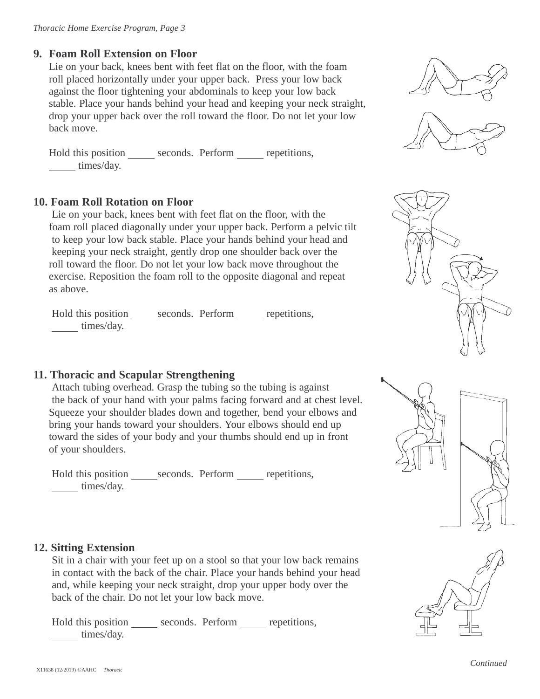### **9. Foam Roll Extension on Floor**

Lie on your back, knees bent with feet flat on the floor, with the foam roll placed horizontally under your upper back. Press your low back against the floor tightening your abdominals to keep your low back stable. Place your hands behind your head and keeping your neck straight, drop your upper back over the roll toward the floor. Do not let your low back move.

Hold this position \_\_\_\_\_\_ seconds. Perform \_\_\_\_\_ repetitions, times/day.

#### **10. Foam Roll Rotation on Floor**

Lie on your back, knees bent with feet flat on the floor, with the foam roll placed diagonally under your upper back. Perform a pelvic tilt to keep your low back stable. Place your hands behind your head and keeping your neck straight, gently drop one shoulder back over the roll toward the floor. Do not let your low back move throughout the exercise. Reposition the foam roll to the opposite diagonal and repeat as above.

Hold this position \_\_\_\_\_\_seconds. Perform \_\_\_\_\_\_\_ repetitions, times/day.

# **11. Thoracic and Scapular Strengthening**

Attach tubing overhead. Grasp the tubing so the tubing is against the back of your hand with your palms facing forward and at chest level. Squeeze your shoulder blades down and together, bend your elbows and bring your hands toward your shoulders. Your elbows should end up toward the sides of your body and your thumbs should end up in front of your shoulders.

Hold this position \_\_\_\_\_\_seconds. Perform \_\_\_\_\_\_\_ repetitions, times/day.







#### **12. Sitting Extension**

Sit in a chair with your feet up on a stool so that your low back remains in contact with the back of the chair. Place your hands behind your head and, while keeping your neck straight, drop your upper body over the back of the chair. Do not let your low back move.

Hold this position \_\_\_\_\_\_ seconds. Perform \_\_\_\_\_ repetitions, times/day.

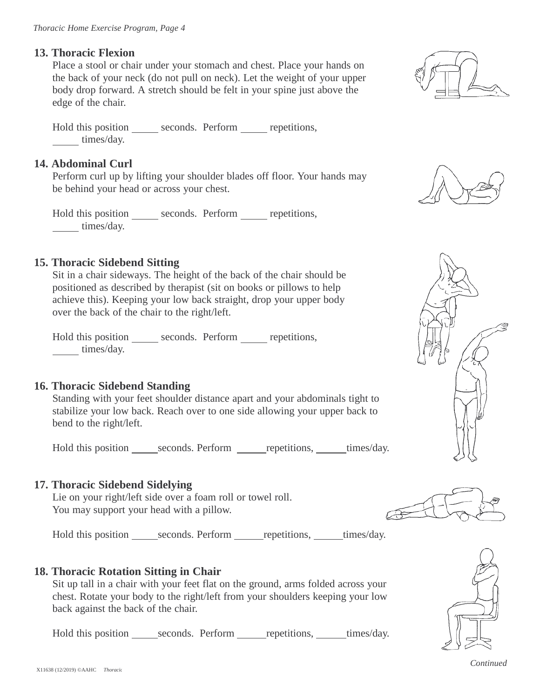### **13. Thoracic Flexion**

Place a stool or chair under your stomach and chest. Place your hands on the back of your neck (do not pull on neck). Let the weight of your upper body drop forward. A stretch should be felt in your spine just above the edge of the chair.

Hold this position \_\_\_\_\_\_ seconds. Perform \_\_\_\_\_ repetitions, times/day.

# **14. Abdominal Curl**

Perform curl up by lifting your shoulder blades off floor. Your hands may be behind your head or across your chest.

Hold this position \_\_\_\_\_\_ seconds. Perform \_\_\_\_\_ repetitions, times/day.

# **15. Thoracic Sidebend Sitting**

Sit in a chair sideways. The height of the back of the chair should be positioned as described by therapist (sit on books or pillows to help achieve this). Keeping your low back straight, drop your upper body over the back of the chair to the right/left.

Hold this position \_\_\_\_\_\_ seconds. Perform \_\_\_\_\_ repetitions, times/day.

# **16. Thoracic Sidebend Standing**

Standing with your feet shoulder distance apart and your abdominals tight to stabilize your low back. Reach over to one side allowing your upper back to bend to the right/left.

Hold this position seconds. Perform repetitions, times/day.

# **17. Thoracic Sidebend Sidelying**

Lie on your right/left side over a foam roll or towel roll. You may support your head with a pillow.

Hold this position seconds. Perform repetitions, times/day.

#### **18. Thoracic Rotation Sitting in Chair**

Sit up tall in a chair with your feet flat on the ground, arms folded across your chest. Rotate your body to the right/left from your shoulders keeping your low back against the back of the chair.

Hold this position seconds. Perform repetitions, times/day.